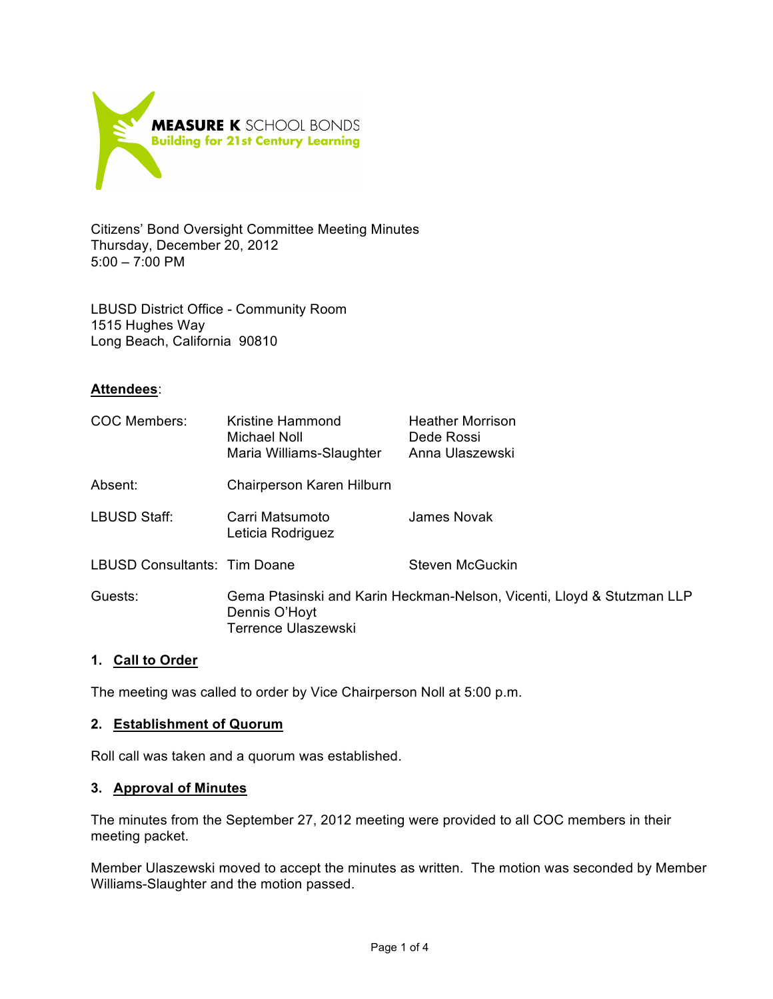

Citizens' Bond Oversight Committee Meeting Minutes Thursday, December 20, 2012 5:00 – 7:00 PM

LBUSD District Office - Community Room 1515 Hughes Way Long Beach, California 90810

## **Attendees**:

| COC Members:                        | Kristine Hammond<br><b>Michael Noll</b><br>Maria Williams-Slaughter                                                   | <b>Heather Morrison</b><br>Dede Rossi<br>Anna Ulaszewski |
|-------------------------------------|-----------------------------------------------------------------------------------------------------------------------|----------------------------------------------------------|
| Absent:                             | Chairperson Karen Hilburn                                                                                             |                                                          |
| <b>LBUSD Staff:</b>                 | Carri Matsumoto<br>Leticia Rodriguez                                                                                  | James Novak                                              |
| <b>LBUSD Consultants: Tim Doane</b> |                                                                                                                       | Steven McGuckin                                          |
| Guests:                             | Gema Ptasinski and Karin Heckman-Nelson, Vicenti, Lloyd & Stutzman LLP<br>Dennis O'Hoyt<br><b>Terrence Ulaszewski</b> |                                                          |

#### **1. Call to Order**

The meeting was called to order by Vice Chairperson Noll at 5:00 p.m.

#### **2. Establishment of Quorum**

Roll call was taken and a quorum was established.

#### **3. Approval of Minutes**

The minutes from the September 27, 2012 meeting were provided to all COC members in their meeting packet.

Member Ulaszewski moved to accept the minutes as written. The motion was seconded by Member Williams-Slaughter and the motion passed.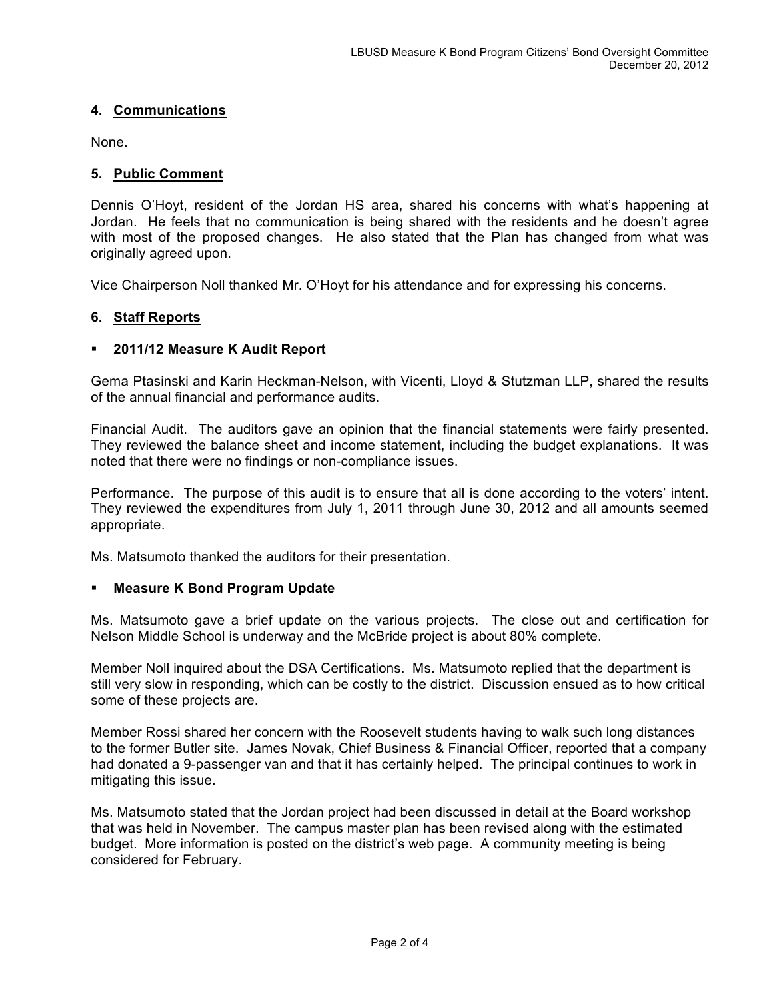# **4. Communications**

None.

#### **5. Public Comment**

Dennis O'Hoyt, resident of the Jordan HS area, shared his concerns with what's happening at Jordan. He feels that no communication is being shared with the residents and he doesn't agree with most of the proposed changes. He also stated that the Plan has changed from what was originally agreed upon.

Vice Chairperson Noll thanked Mr. O'Hoyt for his attendance and for expressing his concerns.

## **6. Staff Reports**

## **2011/12 Measure K Audit Report**

Gema Ptasinski and Karin Heckman-Nelson, with Vicenti, Lloyd & Stutzman LLP, shared the results of the annual financial and performance audits.

Financial Audit. The auditors gave an opinion that the financial statements were fairly presented. They reviewed the balance sheet and income statement, including the budget explanations. It was noted that there were no findings or non-compliance issues.

Performance. The purpose of this audit is to ensure that all is done according to the voters' intent. They reviewed the expenditures from July 1, 2011 through June 30, 2012 and all amounts seemed appropriate.

Ms. Matsumoto thanked the auditors for their presentation.

#### **Measure K Bond Program Update**

Ms. Matsumoto gave a brief update on the various projects. The close out and certification for Nelson Middle School is underway and the McBride project is about 80% complete.

Member Noll inquired about the DSA Certifications. Ms. Matsumoto replied that the department is still very slow in responding, which can be costly to the district. Discussion ensued as to how critical some of these projects are.

Member Rossi shared her concern with the Roosevelt students having to walk such long distances to the former Butler site. James Novak, Chief Business & Financial Officer, reported that a company had donated a 9-passenger van and that it has certainly helped. The principal continues to work in mitigating this issue.

Ms. Matsumoto stated that the Jordan project had been discussed in detail at the Board workshop that was held in November. The campus master plan has been revised along with the estimated budget. More information is posted on the district's web page. A community meeting is being considered for February.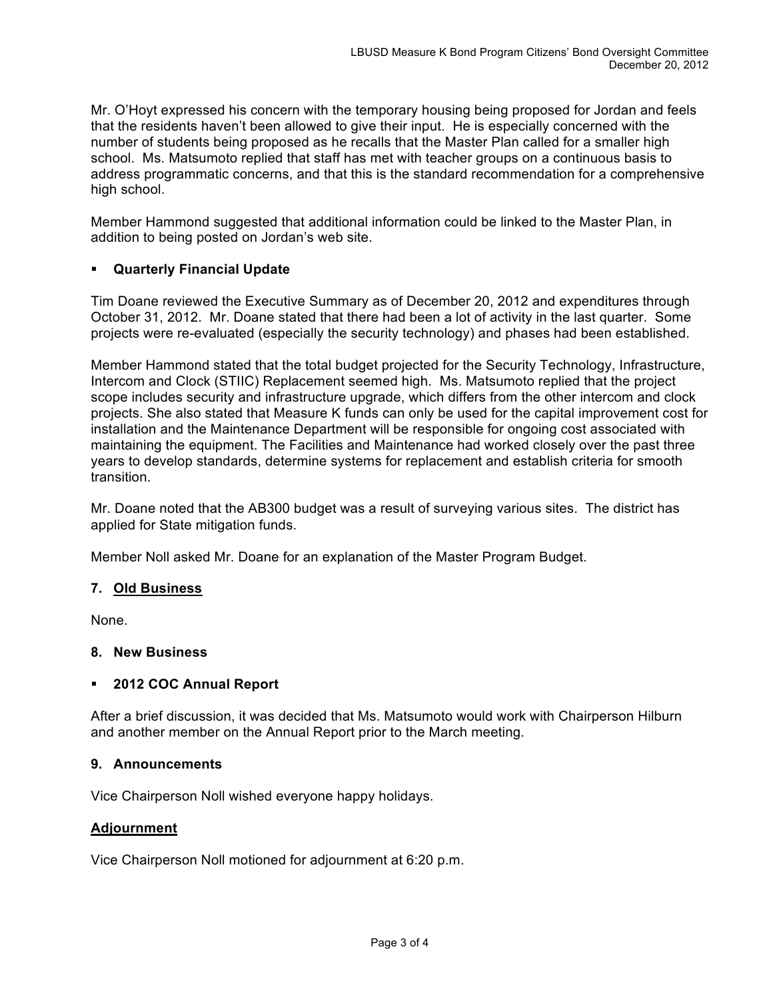Mr. O'Hoyt expressed his concern with the temporary housing being proposed for Jordan and feels that the residents haven't been allowed to give their input. He is especially concerned with the number of students being proposed as he recalls that the Master Plan called for a smaller high school. Ms. Matsumoto replied that staff has met with teacher groups on a continuous basis to address programmatic concerns, and that this is the standard recommendation for a comprehensive high school.

Member Hammond suggested that additional information could be linked to the Master Plan, in addition to being posted on Jordan's web site.

# **Quarterly Financial Update**

Tim Doane reviewed the Executive Summary as of December 20, 2012 and expenditures through October 31, 2012. Mr. Doane stated that there had been a lot of activity in the last quarter. Some projects were re-evaluated (especially the security technology) and phases had been established.

Member Hammond stated that the total budget projected for the Security Technology, Infrastructure, Intercom and Clock (STIIC) Replacement seemed high. Ms. Matsumoto replied that the project scope includes security and infrastructure upgrade, which differs from the other intercom and clock projects. She also stated that Measure K funds can only be used for the capital improvement cost for installation and the Maintenance Department will be responsible for ongoing cost associated with maintaining the equipment. The Facilities and Maintenance had worked closely over the past three years to develop standards, determine systems for replacement and establish criteria for smooth transition.

Mr. Doane noted that the AB300 budget was a result of surveying various sites. The district has applied for State mitigation funds.

Member Noll asked Mr. Doane for an explanation of the Master Program Budget.

# **7. Old Business**

None.

# **8. New Business**

# **2012 COC Annual Report**

After a brief discussion, it was decided that Ms. Matsumoto would work with Chairperson Hilburn and another member on the Annual Report prior to the March meeting.

#### **9. Announcements**

Vice Chairperson Noll wished everyone happy holidays.

#### **Adjournment**

Vice Chairperson Noll motioned for adjournment at 6:20 p.m.